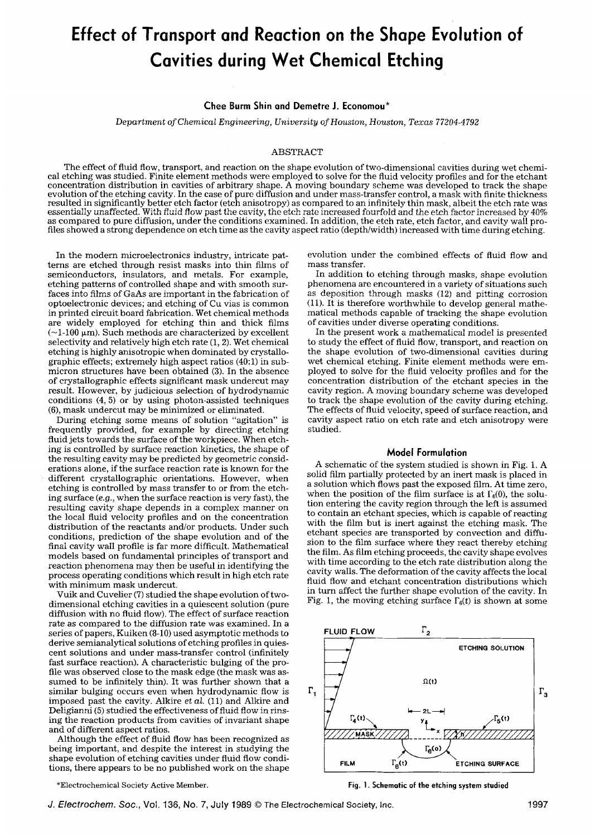# **Effect of Transport and Reaction on the Shape Evolution of Cavities during Wet Chemical Etching**

#### **Chee Burm Shin and Demetre J. Economou\***

*Department of Chemical Engineering, University of Houston, Houston, Texas 77204-4792* 

#### ABSTRACT

The effect of fluid flow, transport, and reaction on the shape evolution of two-dimensional cavities during wet chemical etching was studied. Finite element methods were employed to solve for the fluid velocity profiles and for the etchant concentration distribution in cavities of arbitrary shape. A moving boundary scheme was developed to track the shape evolution of the etching cavity. In the case of pure diffusion and under mass-transfer control, a mask with finite thickness resulted in significantly better etch factor (etch anisotropy) as compared to an infinitely thin mask, albeit the etch rate was essentially unaffected. With fluid flow past the cavity, the etch rate increased fourfold and the etch factor increased by 40% as compared to pure diffusion, under the conditions examined. In addition, the etch rate, etch factor, and cavity wall profiles showed a strong dependence on etch time as the cavity aspect ratio (depth/width) increased with time during etching.

In the modern microelectronics industry, intricate patterns are etched through resist masks into thin films of semiconductors, insulators, and metals. For example, etching patterns of controlled shape and with smooth surfaces into films of GaAs are important in the fabrication of optoelectronic devices; and etching of Cu vias is common in printed circuit board fabrication. Wet chemical methods are widely employed for etching thin and thick films  $(-1.100 \mu m)$ . Such methods are characterized by excellent selectivity and relatively high etch rate (1, 2). Wet chemical etching is highly anisotropic when dominated by crystallographic effects; extremely high aspect ratios (40:1) in submicron structures have been obtained (3). In the absence of crystallographic effects significant mask undercut may result. However, by judicious selection of hydrodynamic conditions (4, 5) or by using photon-assisted techniques (6), mask undercut may be minimized or eliminated.

During etching some means of solution "agitation" is frequently provided, for example by directing etching fluid jets towards the surface of the workpiece. When etching is controlled by surface reaction kinetics, the shape of the resulting cavity may be predicted by geometric considerations alone, if the surface reaction rate is known for the different crystallographic orientations. However, when etching is controlled by mass transfer to or from the etching surface *(e.g.,* when the surface reaction is very fast), the resulting cavity shape depends in a complex manner on the local fluid velocity profiles and on the concentration distribution of the reactants and/or products. Under such conditions, prediction of the shape evolution and of the final cavity wall profile is far more difficult. Mathematical models based on fundamental principles of transport and reaction phenomena may then be useful in identifying the process operating conditions which result in high etch rate with minimum mask undercut.

Vuik and Cuvelier (7) studied the shape evolution of twodimensional etching cavities in a quiescent solution (pure diffusion with no fluid flow). The effect of surface reaction rate as compared to the diffusion rate was examined. In a series of papers, Kuiken (8-10) used asymptotic methods to derive semianalytical solutions of etching profiles in quiescent solutions and under mass-transfer control (infinitely fast surface reaction). A characteristic bulging of the profile was observed close to the mask edge (the mask was assumed to be infinitely thin). It was further shown that a similar bulging occurs even when hydrodynamic flow is imposed past the cavity. Alkire *et al.* (11) and Alkire and Deligianni (5) studied the effectiveness of fluid flow in rinsing the reaction products from cavities of invariant shape and of different aspect ratios.

Although the effect of fluid flow has been recognized as being important, and despite the interest in studying the shape evolution of etching cavities under fluid flow conditions, there appears to be no published work on the shape

evolution under the combined effects of fluid flow and mass transfer.

In addition to etching through masks, shape evolution phenomena are encountered in a variety of situations such as deposition through masks (12) and pitting corrosion  $(11)$ . It is therefore worthwhile to develop general mathematical methods capable of tracking the shape evolution of cavities under diverse operating conditions.

In the present work a mathematical model is presented to study the effect of fluid flow, transport, and reaction on the shape evolution of two-dimensional cavities during wet chemical etching. Finite element methods were employed to solve for the fluid velocity profiles and for the concentration distribution of the etchant species in the cavity region. A moving boundary scheme was developed to track the shape evolution of the cavity during etching. The effects of fluid velocity, speed of surface reaction, and cavity aspect ratio on etch rate and etch anisotropy were studied.

## **Model Formulation**

A schematic of the system studied is shown in Fig. 1. A solid film partially protected by an inert mask is placed in a solution which flows past the exposed film. At time zero, when the position of the film surface is at  $\Gamma_6(0)$ , the solution entering the cavity region through the left is assumed to contain an etchant species, which is capable of reacting with the film but is inert against the etching mask. The etchant species are transported by convection and diffusion to the film surface where they react thereby etching the film. As film etching proceeds, the cavity shape evolves with time according to the etch rate distribution along the cavity walls. The deformation of the cavity affects the local fluid flow and etchant concentration distributions which in turn affect the further shape evolution of the cavity. In Fig. 1, the moving etching surface  $\Gamma_6(t)$  is shown at some



\*Electrochemical Society Active Member. Fig. 1. **Schematic of the etching system studied**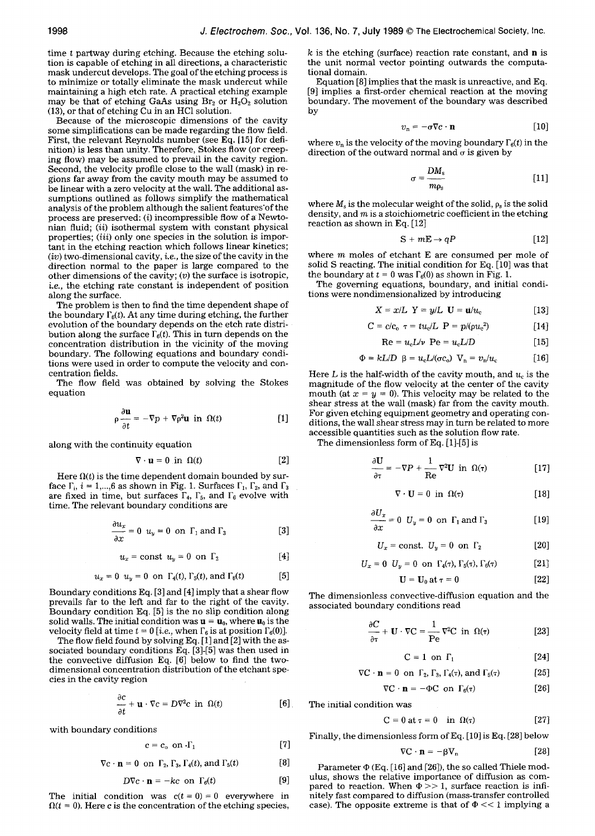time t partway during etching. Because the etching solution is capable of etching in all directions, a characteristic mask undercut develops. The goal of the etching process is to minimize or totally eliminate the mask undercut while maintaining a high etch rate. A practical etching example may be that of etching GaAs using  $Br_2$  or  $H_2O_2$  solution (13), or that of etching Cu in an HC1 solution.

Because of the microscopic dimensions of the cavity some simplifications can be made regarding the flow field. First, the relevant Reynolds number (see Eq. [15] for definition) is less than unity. Therefore, Stokes flow (or creeping flow) may be assumed to prevail in the cavity region. Second, the velocity profile close to the wall (mask) in regions far away from the cavity mouth may be assumed to be linear with a zero velocity at the wall. The additional assumptions outlined as follows simplify the mathematical analysis of the problem although the salient features'of the process are preserved: (i) incompressible flow of a Newtonian fluid; *(ii)* isothermal system with constant physical properties; *(iii)* only one species in the solution is important in the etching reaction which follows linear kinetics; (iv) two-dimensional cavity, *i.e.,* the size of the cavity in the direction normal to the paper is large compared to the other dimensions of the cavity;  $(v)$  the surface is isotropic, *i.e.,* the etching rate constant is independent of position along the surface.

The problem is then to find the time dependent shape of the boundary  $\Gamma_{6}(t)$ . At any time during etching, the further evolution of the boundary depends on the etch rate distribution along the surface  $\Gamma_6(t)$ . This in turn depends on the concentration distribution in the vicinity of the moving boundary. The following equations and boundary conditions were used in order to compute the velocity and concentration fields.

The flow field was obtained by solving the Stokes equation

$$
\rho \frac{\partial \mathbf{u}}{\partial t} = -\nabla p + \nabla \rho^2 \mathbf{u} \text{ in } \Omega(t) \tag{1}
$$

along with the continuity equation

$$
\nabla \cdot \mathbf{u} = 0 \text{ in } \Omega(t) \tag{2}
$$

Here  $\Omega(t)$  is the time dependent domain bounded by surface  $\Gamma_i$ ,  $i = 1,...,6$  as shown in Fig. 1. Surfaces  $\Gamma_1$ ,  $\Gamma_2$ , and  $\Gamma_3$ are fixed in time, but surfaces  $\Gamma_4$ ,  $\Gamma_5$ , and  $\Gamma_6$  evolve with time. The relevant boundary conditions are

$$
\frac{\partial u_x}{\partial x} = 0 \ \ u_y = 0 \ \text{on} \ \Gamma_1 \text{ and } \Gamma_3 \tag{3}
$$

$$
u_x = \text{const} \ \ u_y = 0 \ \text{on} \ \Gamma_2 \tag{4}
$$

$$
u_x = 0 \quad u_y = 0 \quad \text{on} \quad \Gamma_4(t), \Gamma_5(t), \text{and} \quad \Gamma_6(t) \tag{5}
$$

Boundary conditions Eq. [3] and [4] imply that a shear flow prevails far to the left and far to the right of the cavity. Boundary condition Eq. [5] is the no slip condition along solid walls. The initial condition was  $\mathbf{u} = \mathbf{u}_0$ , where  $\mathbf{u}_0$  is the velocity field at time  $t = 0$  [*i.e.*, when  $\Gamma_6$  is at position  $\Gamma_6(0)$ ].

The flow field found by solving Eq.  $[1]$  and  $[2]$  with the associated boundary conditions Eq. [3]-[5] was then used in the convective diffusion Eq. [6] below to find the twodimensional concentration distribution of the etchant species in the cavity region

$$
\frac{\partial c}{\partial t} + \mathbf{u} \cdot \nabla c = D \nabla^2 c \text{ in } \Omega(t)
$$
 [6]

with boundary conditions

$$
c = c_o \quad \text{on } \cdot \Gamma_1 \tag{7}
$$

$$
\nabla c \cdot \mathbf{n} = 0 \text{ on } \Gamma_2, \Gamma_3, \Gamma_4(t), \text{ and } \Gamma_5(t) \tag{8}
$$

$$
D\nabla c \cdot \mathbf{n} = -kc \text{ on } \Gamma_6(t) \tag{9}
$$

The initial condition was  $c(t = 0) = 0$  everywhere in  $\Omega(t = 0)$ . Here c is the concentration of the etching species,

 $k$  is the etching (surface) reaction rate constant, and **n** is the unit normal vector pointing outwards the computational domain.

Equation [8] implies that the mask is unreactive, and Eq. [9] implies a first-order chemical reaction at the moving boundary. The movement of the boundary was described by

$$
v_{n} = -\sigma \nabla c \cdot \mathbf{n} \qquad [10]
$$

where  $v_n$  is the velocity of the moving boundary  $\Gamma_6(t)$  in the direction of the outward normal and  $\sigma$  is given by

$$
\sigma = \frac{DM_s}{m\rho_s} \tag{11}
$$

where  $M_s$  is the molecular weight of the solid,  $\rho_s$  is the solid density, and  $m$  is a stoichiometric coefficient in the etching reaction as shown in Eq. [12]

$$
S + mE \rightarrow qP \qquad [12]
$$

where  $m$  moles of etchant  $E$  are consumed per mole of solid S reacting. The initial condition for Eq. [10] was that the boundary at  $t = 0$  was  $\Gamma_6(0)$  as shown in Fig. 1.

The governing equations, boundary, and initial conditions were nondimensionalized by introducing

$$
X = x/L \ \ Y = y/L \ \mathbf{U} = \mathbf{u}/u_{\rm c} \tag{13}
$$

$$
C = c/c_o \tau = tu_c/L \ P = p/(\rho u_c^2)
$$
 [14]

$$
Re = u_c L/v \quad Pe = u_c L/D \tag{15}
$$

$$
\Phi = kL/D \ \beta = u_{\rm c}L/(\sigma c_{\rm o}) \ \mathbf{V}_{\rm n} = v_{\rm n}/u_{\rm c} \qquad [16]
$$

Here L is the half-width of the cavity mouth, and  $u_c$  is the magnitude of the flow velocity at the center of the cavity mouth (at  $x = y = 0$ ). This velocity may be related to the shear stress at the wall (mask) far from the cavity mouth. For given etching equipment geometry and operating conditions, the wall shear stress may in turn be related to more accessible quantities such as the solution flow rate.

The dimensionless form of Eq. [1]-[5] is

$$
\frac{\partial \mathbf{U}}{\partial \tau} = -\nabla P + \frac{1}{\text{Re}} \nabla^2 \mathbf{U} \text{ in } \Omega(\tau) \tag{17}
$$

$$
\nabla \cdot \mathbf{U} = 0 \text{ in } \Omega(\tau) \tag{18}
$$

$$
\frac{\partial U_x}{\partial x} = 0 \quad U_y = 0 \quad \text{on } \Gamma_1 \text{ and } \Gamma_3 \tag{19}
$$

$$
U_x = \text{const.} \quad U_y = 0 \quad \text{on} \quad \Gamma_2 \tag{20}
$$

$$
U_x = 0 \quad U_y = 0 \quad \text{on} \quad \Gamma_4(\tau), \Gamma_5(\tau), \Gamma_6(\tau) \tag{21}
$$

$$
\mathbf{U} = \mathbf{U}_0 \text{ at } \tau = 0 \tag{22}
$$

The dimensionless convective-diffusion equation and the associated boundary conditions read

$$
\frac{\partial C}{\partial \tau} + \mathbf{U} \cdot \nabla C = \frac{1}{\text{Pe}} \nabla^2 C \text{ in } \Omega(\tau) \tag{23}
$$

$$
C = 1 \text{ on } \Gamma_1 \tag{24}
$$

$$
\nabla C \cdot \mathbf{n} = 0 \text{ on } \Gamma_2, \Gamma_3, \Gamma_4(\tau), \text{ and } \Gamma_5(\tau) \tag{25}
$$

$$
\nabla C \cdot \mathbf{n} = -\Phi C \text{ on } \Gamma_6(\tau) \tag{26}
$$

The initial condition was

$$
C = 0 \text{ at } \tau = 0 \quad \text{in } \Omega(\tau) \tag{27}
$$

Finally, the dimensionless form of Eq. [10] is Eq. [28] below

$$
\nabla \mathbf{C} \cdot \mathbf{n} = -\beta \mathbf{V}_n \qquad [28]
$$

Parameter  $\Phi$  (Eq. [16] and [26]), the so called Thiele modulus, shows the relative importance of diffusion as compared to reaction. When  $\Phi$  >> 1, surface reaction is infinitely fast compared to diffusion (mass-transfer controlled case). The opposite extreme is that of  $\Phi \ll 1$  implying a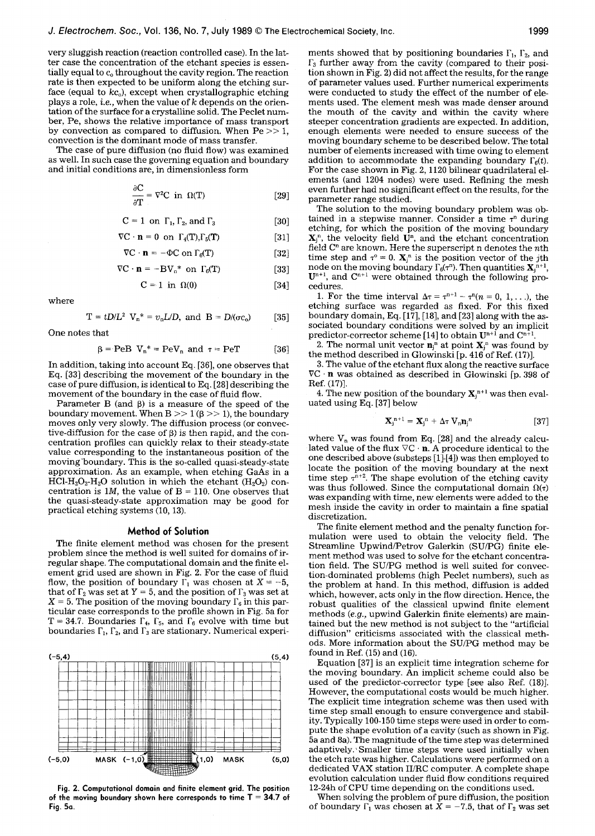very sluggish reaction (reaction controlled case). In the latter case the concentration of the etchant species is essentially equal to  $c_0$  throughout the cavity region. The reaction rate is then expected to be uniform along the etching surface (equal to  $kc_0$ ), except when crystallographic etching plays a role, *i.e.*, when the value of k depends on the orientation of the surface for a crystalline solid. The Peclet number, Pe, shows the relative importance of mass transport by convection as compared to diffusion. When  $Pe \gg 1$ , convection is the dominant mode of mass transfer.

The case of pure diffusion (no fluid flow) was examined as well. In such case the governing equation and boundary and initial conditions are, in dimensionless form

$$
\frac{\partial C}{\partial T} = \nabla^2 C \text{ in } \Omega(T) \tag{29}
$$

$$
C = 1 \text{ on } \Gamma_1, \Gamma_2, \text{ and } \Gamma_3 \tag{30}
$$

$$
\nabla \mathbf{C} \cdot \mathbf{n} = 0 \text{ on } \Gamma_4(\mathbf{T}), \Gamma_5(\mathbf{T}) \tag{31}
$$

$$
\nabla C \cdot \mathbf{n} = -\Phi C \text{ on } \Gamma_6(T) \tag{32}
$$

$$
\nabla \mathbf{C} \cdot \mathbf{n} = -\mathbf{B} \mathbf{V}_n^* \text{ on } \Gamma_6(\mathbf{T}) \tag{33}
$$

$$
C = 1 \text{ in } \Omega(0) \tag{34}
$$

where

$$
T = tD/L^2
$$
 V<sub>n</sub><sup>\*</sup> =  $v_n L/D$ , and B =  $D/(\sigma c_0)$  [35]

One notes that

$$
\beta = \text{PeB} \ \ V_{n}^* = \text{PeV}_{n} \ \text{and} \ \ \tau = \text{PeT} \tag{36}
$$

In addition, taking into account Eq. [36], one observes that Eq. [33] describing the movement of the boundary in the case of pure diffusion, is identical to Eq. [28] describing the movement of the boundary in the case of fluid flow.

Parameter B (and  $\beta$ ) is a measure of the speed of the boundary movement. When  $B >> 1$  ( $\beta >> 1$ ), the boundary moves only very slowly. The diffusion process (or convective-diffusion for the case of  $\beta$ ) is then rapid, and the concentration profiles can quickly relax to their steady-state value corresponding to the instantaneous position of the moving'boundary. This is the so-called quasi-steady-state approximation. As an example, when etching GaAs in a HCl-H<sub>2</sub>O<sub>2</sub>-H<sub>2</sub>O solution in which the etchant (H<sub>2</sub>O<sub>2</sub>) concentration is  $1M$ , the value of  $B = 110$ . One observes that the quasi-steady-state approximation may be good for practical etching systems (10, 13).

#### **Method of Solution**

The finite element method was chosen for the present problem since the method is well suited for domains of irregular shape. The computational domain and the finite element grid used are shown in Fig. 2. For the case of fluid flow, the position of boundary  $\Gamma_1$  was chosen at  $X = -5$ , that of  $\Gamma_2$  was set at Y = 5, and the position of  $\Gamma_3$  was set at  $X = 5$ . The position of the moving boundary  $\Gamma_6$  in this particular case corresponds to the profile shown in Fig. 5a for T = 34.7. Boundaries  $\Gamma_4$ ,  $\Gamma_5$ , and  $\Gamma_6$  evolve with time but boundaries  $\Gamma_1$ ,  $\Gamma_2$ , and  $\Gamma_3$  are stationary. Numerical experi-



**Fig. 2. Computational domain and finite element grid. The position of the moving boundary shown here corresponds to time T = 34.7 of Fig. 5a.** 

ments showed that by positioning boundaries  $\Gamma_1$ ,  $\Gamma_2$ , and  $\Gamma_3$  further away from the cavity (compared to their position shown in Fig. 2) did not affect the results, for the range of parameter values used. Further numerical experiments were conducted to study the effect of the number of elements used. The element mesh was made denser around the mouth of the cavity and within the cavity where steeper concentration gradients are expected. In addition, enough elements were needed to ensure success of the moving boundary scheme to be described below. The total number of elements increased with time owing to element addition to accommodate the expanding boundary  $\Gamma_6(t)$ . For the case shown in Fig. 2, 1120 bilinear quadrilateral elements (and 1204 nodes) were used. Refining the mesh even further had no significant effect on the results, for the parameter range studied.

The solution to the moving boundary problem was ob tained in a stepwise manner. Consider a time  $\tau^n$  during etching, for which the position of the moving boundary  ${\bf X}^n$ , the velocity field  ${\bf U}^n$ , and the etchant concentration field  $C<sup>n</sup>$  are known. Here the superscript n denotes the *n*th time step and  $\tau^{\circ} = 0$ .  $\mathbf{X}_{j}^{n}$  is the position vector of the jth node on the moving boundary  $\Gamma_6(\tau^n)$ . Then quantities  $\mathbf{X}_i^{n+1}$ .  $U^{n+1}$ , and  $C^{n+1}$  were obtained through the following procedures.

1. For the time interval  $\Delta \tau = \tau^{n+1} - \tau^n (n = 0, 1, \ldots)$ , the etching surface was regarded as fixed. For this fixed boundary domain, Eq.  $[17]$ ,  $[18]$ , and  $[23]$  along with the associated boundary conditions were solved by an implicit predictor-corrector scheme [14] to obtain  $\mathbf{U}^{n+1}$  and  $\mathbf{C}^{n+1}$ 

2. The normal unit vector  $\mathbf{n}_j^{\mathrm{n}}$  at point  $\mathbf{X}_j^{\mathrm{n}}$  was found by the method described in Glowinski [p. 416 of Ref. (17)].

3. The value of the etchant flux along the reactive surface VC - n was obtained as described in Glowinski [p. 398 of Ref. (17)].

4. The new position of the boundary  $X_i^{n+1}$  was then evaluated using Eq. [37] below

$$
\mathbf{X}_{j}^{n+1} = \mathbf{X}_{j}^{n} + \Delta \tau \mathbf{V}_{n} \mathbf{n}_{j}^{n}
$$
 [37]

where  $V_n$  was found from Eq. [28] and the already calculated value of the flux  $\nabla C \cdot \mathbf{n}$ . A procedure identical to the one described above (substeps [1]-[4]) was then employed to locate the position of the moving boundary at the next time step  $\tau^{n+2}$ . The shape evolution of the etching cavity was thus followed. Since the computational domain  $\Omega(\tau)$ was expanding with time, new elements were added to the mesh inside the cavity in order to maintain a fine spatial discretization.

The finite element method and the penalty function formulation were used to obtain the velocity field. The Streamline Upwind/Petrov Galerkin (SU/PG) finite element method was used to solve for the etchant concentration field. The SU/PG method is well suited for convection-dominated problems (high Peclet numbers), such as the problem at hand. In this method, diffusion is added which, however, acts only in the flow direction. Hence, the robust qualities of the classical upwind finite element methods *(e.g.,* upwind Galerkin finite elements) are maintained but the new method is not subject to the "artificial diffusion" criticisms associated with the classical methods. More information about the SU/PG method may be (5,4) found in Ref.  $(15)$  and  $(16)$ .

Equation [37] is an explicit time integration scheme for the moving boundary. An implicit scheme could also be used of the predictor-corrector type [see also Ref. (18)]. However, the computational costs would be much higher. The explicit time integration scheme was then used with time step small enough to ensure convergence and stability. Typically 100-150 time steps were used in order to compute the shape evolution of a cavity (such as shown in Fig. 5a and 8a). The magnitude of the time step was determined adaptively.' Smaller time steps were used initially when (5,0) the etch rate was higher. Calculations were performed on a dedicated VAX station II/RC computer. A complete shape evolution calculation under fluid flow conditions required 12-24h of CPU time depending on the conditions used.

When solving the problem of pure diffusion, the position of boundary  $\Gamma_1$  was chosen at  $\bar{X} = -7.5$ , that of  $\Gamma_2$  was set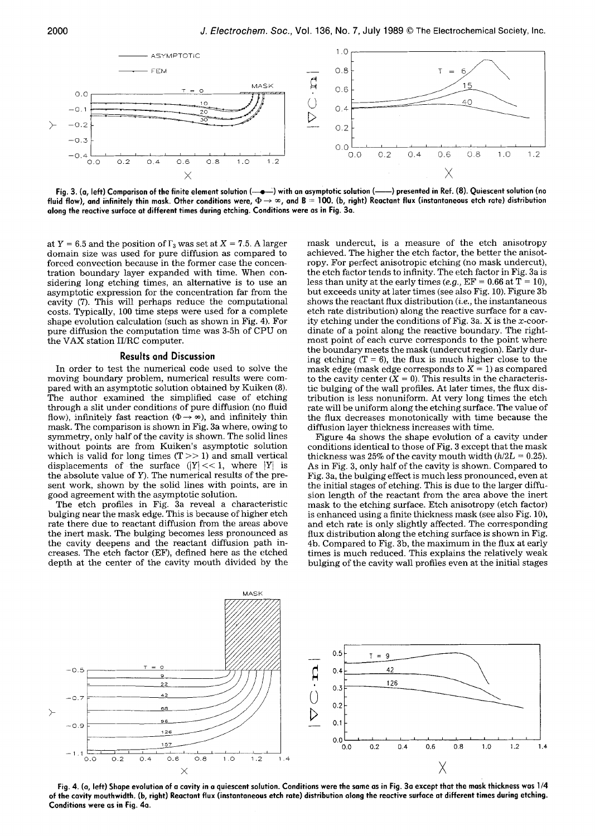

Fig. 3. (a, left) Comparison of the finite element solution (-<del>--</del>) with an asymptotic solution (----) presented in Ref. (8). Quiescent solution (no fluid flow), and infinitely thin mask. Other conditions were,  $\Phi\to\infty$ , and B = 100. (b, right) Reactant flux (instantaneous etch rate) distribution **along the reactive surface at different times during etching. Conditions were as in Fig. 3a.** 

at  $Y = 6.5$  and the position of  $\Gamma_3$  was set at  $X = 7.5$ . A larger domain size was used for pure diffusion as compared to forced convection because in the former case the concentration boundary layer expanded with time. When considering long etching times, an alternative is to use an asymptotic expression for the concentration far from the cavity (7). This will perhaps reduce the computational costs. Typically, 100 time steps were used for a complete shape evolution calculation (such as shown in Fig. 4). For pure diffusion the computation time was 3-5h of CPU on the VAX station II/RC computer.

#### **Results and Discussion**

In order to test the numerical code used to solve the moving boundary problem, numerical results were compared with an asymptotic solution obtained by Kuiken (8). The author examined the simplified case of etching through a slit under conditions of pure diffusion (no fluid flow), infinitely fast reaction ( $\Phi \rightarrow \infty$ ), and infinitely thin mask. The comparison is shown in Fig. 3a where, owing to symmetry, only half of the cavity is shown. The solid lines without points are from Kuiken's asymptotic solution which is valid for long times  $(T >> 1)$  and small vertical displacements of the surface  $(|Y| \lt 1$ , where  $|Y|$  is the absolute value of Y). The numerical results of the present work, shown by the solid lines with points, are in good agreement with the asymptotic solution.

The etch profiles in Fig. 3a reveal a characteristic bulging near the mask edge. This is because of higher etch rate there due to reactant diffusion from the areas above the inert mask. The bulging becomes less pronounced as the cavity deepens and the reactant diffusion path increases. The etch factor (EF), defined here as the etched depth at the center of the cavity mouth divided by the mask undercut, is a measure of the etch anisotropy achieved. The higher the etch factor, the better the anisotropy. For perfect anisotropic etching (no mask undercut), the etch factor tends to infinity. The etch factor in Fig. 3a is less than unity at the early times  $(e.g., EF = 0.66$  at  $T = 10)$ , but exceeds unity at later times (see also Fig. 10). Figure 3b shows the reactant flux distribution *(i.e.,* the instantaneous etch rate distribution) along the reactive surface for a cavity etching under the conditions of Fig. 3a.  $X$  is the  $x$ -coordinate of a point along the reactive boundary. The rightmost point of each curve corresponds to the point where the boundary meets the mask (undercut region). Early during etching  $(T = 6)$ , the flux is much higher close to the mask edge (mask edge corresponds to  $X = 1$ ) as compared to the cavity center  $(X = 0)$ . This results in the characteristic bulging of the wall profiles. At later times, the flux distribution is less nonuniform. At very long times the etch rate will be uniform along the etching surface. The value of the flux decreases monotonically with time because the diffusion layer thickness increases with time.

Figure 4a shows the shape evolution of a cavity under conditions identical to those of Fig. 3 except that the mask thickness was 25% of the cavity mouth width *(h/2L =* 0.25). As in Fig. 3, only half of the cavity is shown. Compared to Fig. 3a, the bulging effect is much less pronounced, even at the initial stages of etching. This is due to the larger diffusion length of the reactant from the area above the inert mask to the etching surface. Etch anisotropy (etch factor) is enhanced using a finite thickness mask (see also Fig. 10), and etch rate is only slightly affected. The corresponding flux distribution along the etching surface is shown in Fig. 4b. Compared to Fig. 3b, the maximum in the flux at early times is much reduced. This explains the relatively weak bulging of the cavity wall profiles even at the initial stages



**Fig. 4. (a, left) Shape evolution of a cavity in a quiescent solution. Conditions were the same as in Fig. 3a except that the mask thickness was 1/4 of the cavity mouthwidth. (b, right) Reactant flux (instantaneous etch rate) distribution along the reactive surface at different times during etching. Conditions were as in Fig. 4a.**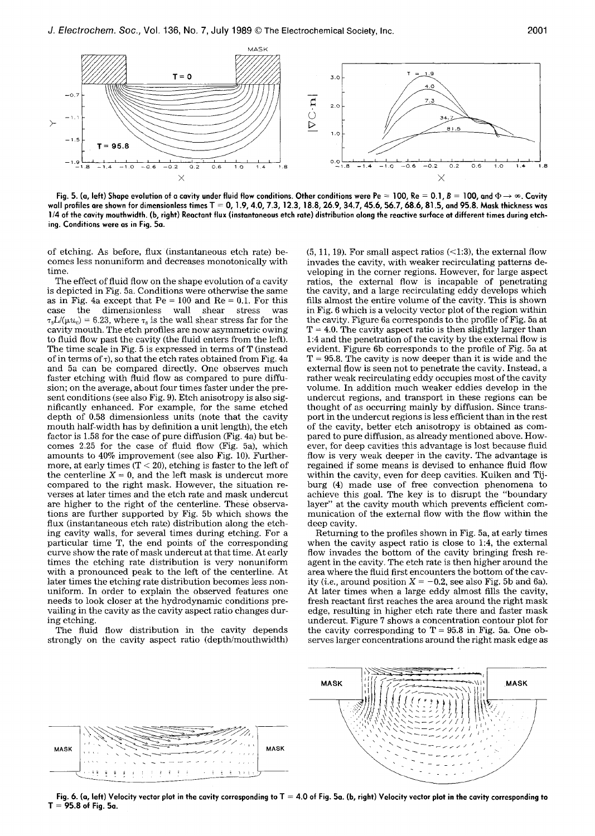

Fig. 5. (a, left) Shape evolution of a cavity under fluid flow conditions. Other conditions were Pe = 100, Re = 0.1, B = 100, and  $\Phi \rightarrow \infty$ . Cavity **wall profiles are shown for dimensionless times T = O, 1.9, 4.0, 7.3, 12.3, 18.8, 26.9, 34.7, 45.6, 56.7, 68.6, 81.5, and 95.8. Mask thickness was 1/4 of the cavity mouthwidth. (b, right) Reactant flux (instantaneous etch rate) distribution along the reactive surface at different times during etching. Conditions were as in Fig. 5a.** 

of etching. As before, flux (instantaneous etch rate) becomes less nonuniform and decreases monotonically with time.

The effect of fluid flow on the shape evolution of a cavity is depicted in Fig. 5a. Conditions were otherwise the same as in Fig. 4a except that  $Pe = 100$  and  $Re = 0.1$ . For this case the dimensionless wall shear stress was  $\tau_{s}L/(\mu u_{c}) = 6.23$ , where  $\tau_{s}$  is the wall shear stress far for the cavity mouth. The etch profiles are now asymmetric owing to fluid flow past the cavity (the fluid enters from the left). The time scale in Fig. 5 is expressed in terms of T (instead of in terms of  $\tau$ ), so that the etch rates obtained from Fig. 4a and 5a can be compared directly. One observes much faster etching with fluid flow as compared to pure diffusion; on the average, about four times faster under the present conditions (see also Fig. 9). Etch anisotropy is also significantly enhanced. For example, for the same etched depth of 0.58 dimensionless units (note that the cavity mouth half-width has by definition a unit length), the etch factor is 1.58 for the case of pure diffusion (Fig. 4a) but becomes 2.25 for the case of fluid flow (Fig. 5a), which amounts to 40% improvement (see also Fig. I0). Furthermore, at early times  $(T < 20)$ , etching is faster to the left of the centerline  $X = 0$ , and the left mask is undercut more compared to the right mask. However, the situation reverses at later times and the etch rate and mask undercut are higher to the right of the centerline. These observations are further supported by Fig. 5b which shows the flux (instantaneous etch rate) distribution along the etching cavity walls, for several times during etching. For a particular time T, the end points of the corresponding curve show the rate of mask undercut at that time. At early times the etching rate distribution is very nonuniform with a pronounced peak to the left of the centerline. At later times the etching rate distribution becomes less nonuniform. In order to explain the observed features one needs to look closer at the hydrodynamic conditions prevailing in the cavity as the cavity aspect ratio changes during etching.

The fluid flow distribution in the cavity depends strongly on the cavity aspect ratio (depth/mouthwidth)

 $(5, 11, 19)$ . For small aspect ratios  $\left( \langle 1:3 \rangle \right)$ , the external flow invades the cavity, with weaker recirculating patterns developing in the corner regions. However, for large aspect ratios, the external flow is incapable of penetrating the cavity, and a large recirculating eddy develops which fills almost the entire volume of the cavity. This is shown in Fig. 6 which is a velocity vector plot of the region within the cavity. Figure 6a corresponds to the profile of Fig. 5a at  $T = 4.0$ . The cavity aspect ratio is then slightly larger than 1:4 and the penetration of the cavity by the external flow is evident. Figure 6b corresponds to the profile of Fig. 5a at  $T = 95.8$ . The cavity is now deeper than it is wide and the external flow is seen not to penetrate the cavity. Instead, a rather weak recireulating eddy occupies most of the cavity volume. In addition much weaker eddies develop in the undercut regions, and transport in these regions can be thought of as occurring mainly by diffusion. Since transport in the undercut regions is less efficient than in the rest of the cavity, better etch anisotropy is obtained as compared to pure diffusion, as already mentioned above. However, for deep cavities this advantage is lost because fluid flow is very weak deeper in the cavity. The advantage is regained if some means is devised to enhance fluid flow within the cavity, even for deep cavities. Kuiken and Tijburg (4) made use of free convection phenomena to achieve this goal. The key is to disrupt the "boundary layer" at the cavity mouth which prevents efficient communication of the external flow with the flow within the deep cavity.

Returning to the profiles shown in Fig. 5a, at early times when the cavity aspect ratio is close to 1:4, the external flow invades the bottom of the cavity bringing fresh reagent in the cavity. The etch rate is then higher around the area where the fluid first encounters the bottom of the cavity *(i.e., around position*  $X = -0.2$ , see also Fig. 5b and 6a). At later times when a large eddy almost fills the cavity, fresh reactant first reaches the area around the right mask edge, resulting in higher etch rate there and faster mask undercut. Figure 7 shows a concentration contour plot for the cavity corresponding to  $T = 95.8$  in Fig. 5a. One observes larger concentrations around the right mask edge as



**Fig. 6. (a, left) Velocity vector plot in the cavity corresponding to T = 4.0 of Fig. 5a. (b, right) Velocity vector plot in the cavity corresponding to T = 95.8 of Fig. 5a.**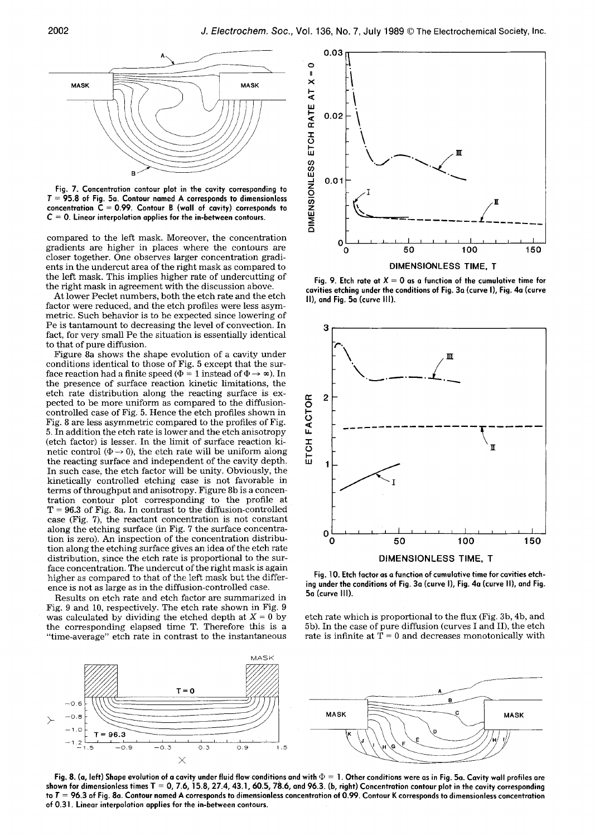

**Fig. 7. Concentration contour plot in the cavity corresponding to T = 95.8 of Fig. 5a. Contour named A corresponds to dimensionless concentration C = 0.99. Contour B (wall of cavity) corresponds to C = 0. Linear interpolation applies for the in-between contours.** 

compared to the left mask. Moreover, the concentration gradients are higher in places where the contours are closer together. One observes larger concentration gradients in the undercut area of the right mask as compared to the left mask. This implies higher rate of undercutting of the right mask in agreement with the discussion above.

At lower Peclet numbers, both the etch rate and the etch factor were reduced, and the etch profiles were less asymmetric. Such behavior is to be expected since lowering of Pe is tantamount to decreasing the level of convection. In fact, for very small Pe the situation is essentially identical to that of pure diffusion.

Figure 8a shows the shape evolution of a cavity under conditions identical to those of Fig. 5 except that the surface reaction had a finite speed ( $\Phi = 1$  instead of  $\Phi \rightarrow \infty$ ). In the presence of surface reaction kinetic limitations, the etch rate distribution along the reacting surface is expected to be more uniform as compared to the diffusioncontrolled case of Fig. 5. Hence the etch profiles shown in Fig. 8 are less asymmetric compared to the profiles of Fig. 5. In addition the etch rate is lower and the etch anisotropy (etch factor) is lesser. In the limit of surface reaction kinetic control ( $\Phi \rightarrow 0$ ), the etch rate will be uniform along the reacting surface and independent of the cavity depth. In such case, the etch factor will be unity. Obviously, the kinetically controlled etching case is not favorable in terms of throughput and anisotropy. Figure 8b is a concentration contour plot corresponding to the profile at  $T = 96.3$  of Fig. 8a. In contrast to the diffusion-controlled case (Fig. 7), the reactant concentration is not constant along the etching surface (in Fig. 7 the surface concentration is zero). An inspection of the concentration distribution along the etching surface gives an idea of the etch rate distribution, since the etch rate is proportional to the surface concentration. The undercut of the right mask is again higher as compared to that of the left mask but the difference is not as large as in the diffusion-controlled case.

Results on etch rate and etch factor are summarized in Fig. 9 and 10, respectively. The etch rate shown in Fig. 9 was calculated by dividing the etched depth at  $X = 0$  by the corresponding elapsed time T. Therefore this is a "time-average" etch rate in contrast to the instantaneous



Fig. 9. Etch rate at  $X = 0$  as a function of the cumulative time for **cavities etching under the conditions of Fig. 3a (curve I), Fig. 4a (curve II), and Fig. 5a (curve Ill).** 



**Fig. 10. Etch factor as a function of cumulative time for cavities etching under the conditions of Fig. 3a (curve I), Fig. 4a (curve II), and Fig. 5a (curve III).** 

etch rate which is proportional to the flux (Fig. 3b, 4b, and 5b). In the case of pure diffusion (curves I and II), the etch rate is infinite at  $T = 0$  and decreases monotonically with



Fig. 8. (a, left) Shape evolution of a cavity under fluid flow conditions and with  $\Phi=1$ . Other conditions were as in Fig. 5a. Cavity wall profiles are **shown for dimensionless times T = 0, 7.6, 15.8, 27.4, 43.1, 60.5, 78.6, and 96.3. (b, right) Concentration contour plot in the cavity corresponding**  to  $T = 96.3$  of Fig. 8a. Contour named A corresponds to dimensionless concentration of 0.99. Contour K corresponds to dimensionless concentration **of 0.31. Linear interpolation applies for the in-between contours.**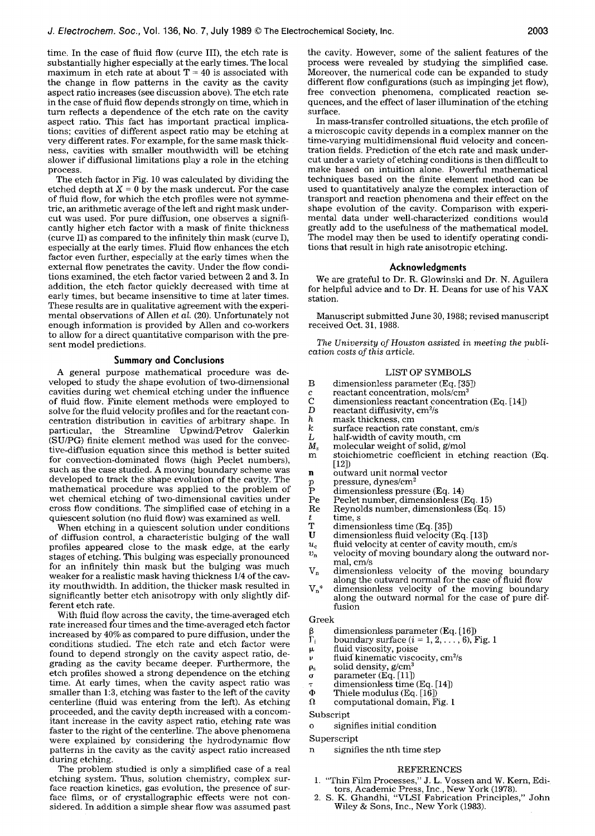time. In the case of fluid flow (curve III), the etch rate is substantially higher especially at the early times. The local maximum in etch rate at about  $T = 40$  is associated with the change in flow patterns in the cavity as the cavity aspect ratio increases (see discussion above). The etch rate in the case of fluid flow depends strongly on time, which in turn reflects a dependence of the etch rate on the cavity aspect ratio. This fact has important practical implications; cavities of different aspect ratio may be etching at very different rates. For example, for the same mask thickness, cavities with smaller mouthwidth will be etching slower if diffusional limitations play a role in the etching process.

The etch factor in Fig. 10 was calculated by dividing the etched depth at  $X = 0$  by the mask undercut. For the case of fluid flow, for which the etch profiles were not symmetric, an arithmetic average of the left and right mask undercut was used. For pure diffusion, one observes a significantly higher etch factor with a mask of finite thickness (curve II) as compared to the infinitely thin mask (curve I), especially at the early times. Fluid flow enhances the etch factor even further, especially at the early times when the external flow penetrates the cavity. Under the flow conditions examined, the etch factor varied between 2 and 3. In addition, the etch factor quickly decreased with time at early times, but became insensitive to time at later times. These results are in qualitative agreement with the experimental observations of Allen *et al,* (20). Unfortunately not enough information is provided by Allen and co-workers to allow for a direct quantitative comparison with the present model predictions.

### **Summary and Conclusions**

A general purpose mathematical procedure was developed to study the shape evolution of two-dimensional cavities during wet chemical etching under the influence of fluid flow. Finite element methods were employed to solve for the fluid velocity profiles and for the reactant concentration distribution in cavities of arbitrary shape. In particular, the Streamline Upwind/Petrov Galerkin (SU/PG) finite element method was used for the convective-diffusion equation since this method is better suited for convection-dominated flows (high Peclet numbers), such as the case studied. A moving boundary scheme was developed to track the shape evolution of the cavity. The mathematical procedure was applied to the problem of wet chemical etching of two-dimensional cavities under cross flow conditions. The simplified case of etching in a quiescent solution (no fluid flow) was examined as well.

When etching in a quiescent solution under conditions of diffusion control, a characteristic bulging of the wall profiles appeared close to the mask edge, at the early stages of etching. This bulging was especially pronounced for an infinitely thin mask but the bulging was much weaker for a realistic mask having thickness 1/4 of the cavity mouthwidth. In addition, the thicker mask resulted in significantly better etch anisotropy with only slightly different etch rate.

With fluid flow across the cavity, the time-averaged etch rate increased four times and the time-averaged etch factor increased by 40% as compared to pure diffusion, under the conditions studied. The etch rate and etch factor were found to depend strongly on the cavity aspect ratio, degrading as the cavity became deeper. Furthermore, the etch profiles showed a strong dependence on the etching time. At early times, when the cavity aspect ratio was smaller than 1:3, etching was faster to the left of the cavity centerline (fluid was entering from the left). As etching proceeded, and the cavity depth increased with a concomitant increase in the cavity aspect ratio, etching rate was faster to the right of the centerline. The above phenomena were explained by considering the hydrodynamic flow patterns in the cavity as the cavity aspect ratio increased during etching.

The problem studied is only a simplified case of a real etching system. Thus, solution chemistry, complex surface reaction kinetics, gas evolution, the presence of surface films, or of crystallographic effects were not considered, in addition a simple shear flow was assumed past the cavity. However, some of the salient features of the process were revealed by studying the simplified case. Moreover, the numerical code can be expanded to study different flow configurations (such as impinging jet flow), free convection phenomena, complicated reaction sequences, and the effect of laser illumination of the etching surface.

In mass-transfer controlled situations, the etch profile of a microscopic cavity depends in a complex manner on the time-varying multidimensional fluid velocity and concentration fields. Prediction of the etch rate and mask undercut under a variety of etching conditions is then difficult to make based on intuition alone. Powerful mathematical techniques based on the finite element method can be used to quantitatively analyze the complex interaction of transport and reaction phenomena and their effect on the shape evolution of the cavity. Comparison with experimental data under well-characterized conditions would greatly add to the usefulness of the mathematical model. The model may then be used to identify operating conditions that result in high rate anisotropic etching.

#### **Acknowledgments**

We are grateful to Dr. R. Glowinski and Dr. N. Aguilera for helpful advice and to Dr. H. Deans for use of his VAX station.

Manuscript submitted June 30, 1988; revised manuscript received Oct. 31, 1988.

*The University of Houston assisted in meeting the publication costs of this article.* 

#### LIST OF SYMBOLS

- B dimensionless parameter (Eq. [35])
- c reactant concentration, mols/cm<sup>3</sup><br>C dimensionless reactant concentra
- C dimensionless reactant concentration (Eq. [14])<br>D reactant diffusivity,  $cm^2/s$
- D reactant diffusivity,  $\text{cm}^2/\text{s}$ <br>h mask thickness, cm
- h mask thickness, cm<br>k surface reaction rate
- k surface reaction rate constant, cm/s<br>
L half-width of cavity mouth, cm
- L half-width of cavity mouth, cm  $M_s$  molecular weight of solid, g/mo
- $M_s$  molecular weight of solid, g/mol<br>m stoichiometric coefficient in et
- stoichiometric coefficient in etching reaction (Eq.  $[12]$
- 
- pressure, dynes/cm<sup>2</sup>
- **n** outward unit normal vector<br>  $p$  pressure, dynes/cm<sup>2</sup><br>  $P$  dimensionless pressure (Eq. P dimensionless pressure (Eq. 14)<br>Pe Peclet number, dimensionless (
- Pe Peclet number, dimensionless (Eq. 15)
- Reynolds number, dimensionless (Eq. 15)
- $t$  time, s<br>T dimens
- T dimensionless time (Eq. [35])<br>U dimensionless fluid velocity
- dimensionless fluid velocity (Eq. [13])
- $u_c$  fluid velocity at center of cavity mouth, cm/s
- $v_n$  velocity of moving boundary along the outward normal, cm/s
- $V_n$  dimensionless velocity of the moving boundary along the outward normal for the case of fluid flow
- $V_n^*$  dimensionless velocity of the moving boundary along the outward normal for the case of pure diffusion

#### Greek

- dimensionless parameter (Eq. [16])
- $\beta$  dimensionless parameter (Eq. [16])<br>  $\Gamma_i$  boundary surface (i = 1, 2, ..., 6), Fig. 1
- 
- $\mu$  fluid viscosity, poise<br> $\nu$  fluid kinematic visco fluid kinematic viscocity, cm<sup>2</sup>/s
- $\rho_s$  solid density,  $g/cm^3$
- parameter (Eq. [11])  $\sigma$
- dimensionless time (Eq. [14]) ÷
- 
- $\Phi$  Thiele modulus (Eq. [16])<br>  $\Omega$  computational domain, F computational domain, Fig. 1

Subscript

- o signifies initial condition
- 

## Superscript

signifies the nth time step

#### REFERENCES

- 1. "Thin Film Processes," J. L. Vossen and W. Kern, Editors, Academic Press, Inc., New York (1978).
- 2. S. K. Ghandhi, "VLSI Fabrication Principles," John Wiley & Sons, Inc., New York (1983).